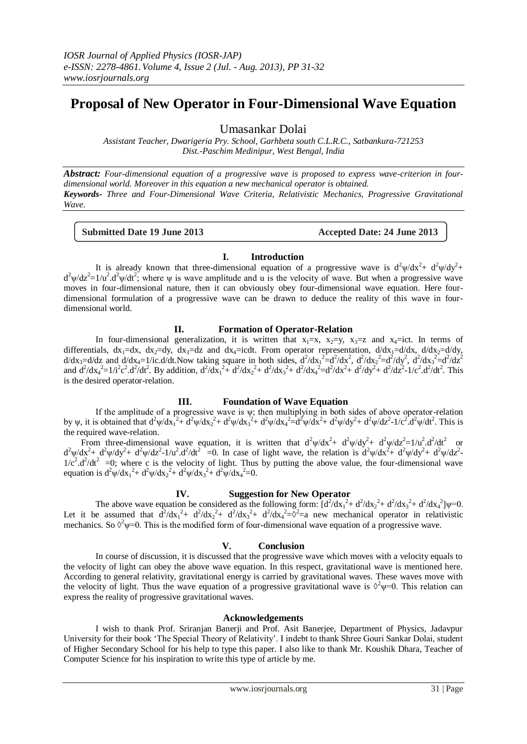# **Proposal of New Operator in Four-Dimensional Wave Equation**

Umasankar Dolai

*Assistant Teacher, Dwarigeria Pry. School, Garhbeta south C.L.R.C., Satbankura-721253 Dist.-Paschim Medinipur, West Bengal, India*

*Abstract: Four-dimensional equation of a progressive wave is proposed to express wave-criterion in fourdimensional world. Moreover in this equation a new mechanical operator is obtained. Keywords- Three and Four-Dimensional Wave Criteria, Relativistic Mechanics, Progressive Gravitational Wave.*

**Submitted Date 19 June 2013 Accepted Date: 24 June 2013**

# **I. Introduction**

It is already known that three-dimensional equation of a progressive wave is  $d^2\psi/dx^2 + d^2\psi/dy^2 +$  $d^2\psi/dz^2 = 1/u^2$ . $d^2\psi/dt^2$ ; where  $\psi$  is wave amplitude and u is the velocity of wave. But when a progressive wave moves in four-dimensional nature, then it can obviously obey four-dimensional wave equation. Here fourdimensional formulation of a progressive wave can be drawn to deduce the reality of this wave in fourdimensional world.

**II. Formation of Operator-Relation**

In four-dimensional generalization, it is written that  $x_1=x$ ,  $x_2=y$ ,  $x_3=z$  and  $x_4=ict$ . In terms of differentials,  $dx_1=dx$ ,  $dx_2=dy$ ,  $dx_3=dz$  and  $dx_4=icdt$ . From operator representation,  $d/dx_1=d/dx$ ,  $d/dx_2=d/dy$ ,  $d/dx_3 = d/dz$  and  $d/dx_4 = 1$ /ic.d/dt. Now taking square in both sides,  $d^2/dx_1^2 = d^2/dx^2$ ,  $d^2/dx_2^2 = d^2/dy^2$ ,  $d^2/dx_3^2 = d^2/dz^2$ and  $d^2/dx_4^2 = 1/i^2c^2 \cdot d^2/dt^2$ . By addition,  $d^2/dx_1^2 + d^2/dx_2^2 + d^2/dx_3^2 + d^2/dx_4^2 = d^2/dx^2 + d^2/dy^2 + d^2/dz^2 - 1/c^2 \cdot d^2/dt^2$ . This is the desired operator-relation.

### **III. Foundation of Wave Equation**

If the amplitude of a progressive wave is  $\psi$ ; then multiplying in both sides of above operator-relation by  $\psi$ , it is obtained that  $d^2\psi/dx_1^2 + d^2\psi/dx_2^2 + d^2\psi/dx_3^2 + d^2\psi/dx_4^2 = d^2\psi/dx^2 + d^2\psi/dy^2 + d^2\psi/dz^2 - 1/c^2d^2\psi/dt^2$ . This is the required wave-relation.

From three-dimensional wave equation, it is written that  $d^2\psi/dx^2 + d^2\psi/dy^2 + d^2\psi/dz^2 = 1/u^2 \cdot d^2/dt^2$  or  $d^2\psi/dx^2 + d^2\psi/dy^2 + d^2\psi/dz^2 - 1/u^2 \cdot d^2/dt^2 = 0$ . In case of light wave, the relation is  $d^2\psi/dx^2 + d^2\psi/dy^2 + d^2\psi/dz^2$  $1/c^2$ .d<sup>2</sup>/dt<sup>2</sup> =0; where c is the velocity of light. Thus by putting the above value, the four-dimensional wave equation is  $d^2\psi/dx_1^2 + d^2\psi/dx_2^2 + d^2\psi/dx_3^2 + d^2\psi/dx_4^2 = 0$ .

### **IV. Suggestion for New Operator**

The above wave equation be considered as the following form:  $\left[\frac{d^2}{dx_1} + \frac{d^2}{dx_2} + \frac{d^2}{dx_3} + \frac{d^2}{dx_4} + \frac{d^2}{dx_5} + \frac{d^2}{dx_6} + \frac{d^2}{dx_7} + \frac{d^2}{dx_8} + \frac{d^2}{dx_9} + \frac{d^2}{dx_9} + \frac{d^2}{dx_1} + \frac{d^2}{dx_1} + \frac{d^2}{dx_2} + \$ Let it be assumed that  $d^2/dx_1^2 + d^2/dx_2^2 + d^2/dx_3^2 + d^2/dx_4^2 = \delta^2 = a$  new mechanical operator in relativistic mechanics. So  $\vartheta^2 \psi = 0$ . This is the modified form of four-dimensional wave equation of a progressive wave.

# **V. Conclusion**

In course of discussion, it is discussed that the progressive wave which moves with a velocity equals to the velocity of light can obey the above wave equation. In this respect, gravitational wave is mentioned here. According to general relativity, gravitational energy is carried by gravitational waves. These waves move with the velocity of light. Thus the wave equation of a progressive gravitational wave is  $\Diamond^2 \psi = 0$ . This relation can express the reality of progressive gravitational waves.

### **Acknowledgements**

I wish to thank Prof. Sriranjan Banerji and Prof. Asit Banerjee, Department of Physics, Jadavpur University for their book 'The Special Theory of Relativity'. I indebt to thank Shree Gouri Sankar Dolai, student of Higher Secondary School for his help to type this paper. I also like to thank Mr. Koushik Dhara, Teacher of Computer Science for his inspiration to write this type of article by me.